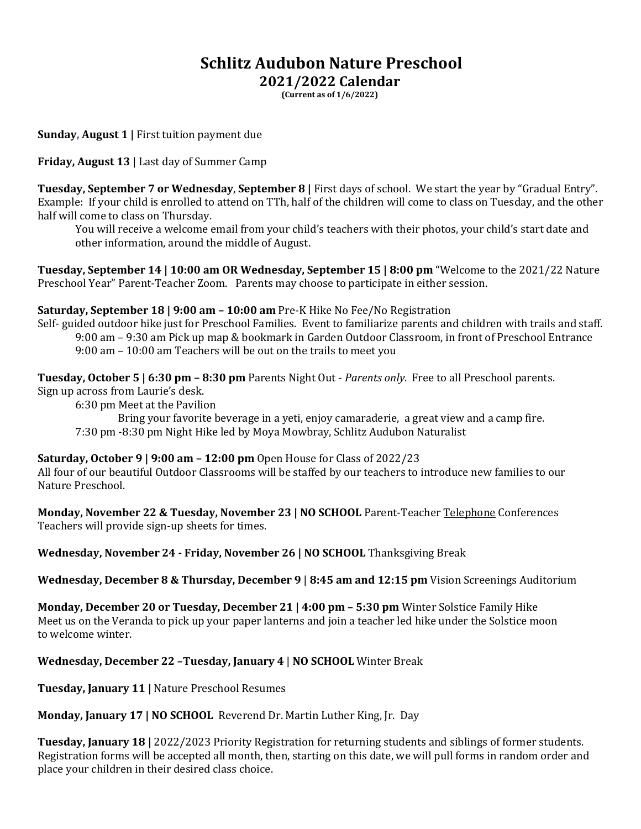## **Schlitz Audubon Nature Preschool 2021/2022 Calendar**

**(Current as of 1/6/2022)**

**Sunday, August 1 |** First tuition payment due

**Friday, August 13** | Last day of Summer Camp

**Tuesday, September 7 or Wednesday**, **September 8 |** First days of school. We start the year by "Gradual Entry". Example: If your child is enrolled to attend on TTh, half of the children will come to class on Tuesday, and the other half will come to class on Thursday.

You will receive a welcome email from your child's teachers with their photos, your child's start date and other information, around the middle of August.

**Tuesday, September 14 | 10:00 am OR Wednesday, September 15 | 8:00 pm** "Welcome to the 2021/22 Nature Preschool Year" Parent-Teacher Zoom. Parents may choose to participate in either session.

**Saturday, September 18 | 9:00 am – 10:00 am** Pre-K Hike No Fee/No Registration

Self- guided outdoor hike just for Preschool Families. Event to familiarize parents and children with trails and staff. 9:00 am – 9:30 am Pick up map & bookmark in Garden Outdoor Classroom, in front of Preschool Entrance 9:00 am – 10:00 am Teachers will be out on the trails to meet you

**Tuesday, October 5 | 6:30 pm – 8:30 pm** Parents Night Out - *Parents only*. Free to all Preschool parents. Sign up across from Laurie's desk.

6:30 pm Meet at the Pavilion

 Bring your favorite beverage in a yeti, enjoy camaraderie, a great view and a camp fire. 7:30 pm -8:30 pm Night Hike led by Moya Mowbray, Schlitz Audubon Naturalist

**Saturday, October 9 | 9:00 am – 12:00 pm** Open House for Class of 2022/23

All four of our beautiful Outdoor Classrooms will be staffed by our teachers to introduce new families to our Nature Preschool.

**Monday, November 22 & Tuesday, November 23 | NO SCHOOL** Parent-Teacher Telephone Conferences Teachers will provide sign-up sheets for times.

**Wednesday, November 24 - Friday, November 26 | NO SCHOOL** Thanksgiving Break

**Wednesday, December 8 & Thursday, December 9** | **8:45 am and 12:15 pm** Vision Screenings Auditorium

**Monday, December 20 or Tuesday, December 21 | 4:00 pm – 5:30 pm** Winter Solstice Family Hike Meet us on the Veranda to pick up your paper lanterns and join a teacher led hike under the Solstice moon to welcome winter.

## **Wednesday, December 22 –Tuesday, January 4** | **NO SCHOOL** Winter Break

**Tuesday, January 11 |** Nature Preschool Resumes

**Monday, January 17 | NO SCHOOL** Reverend Dr. Martin Luther King, Jr. Day

**Tuesday, January 18 |** 2022/2023 Priority Registration for returning students and siblings of former students. Registration forms will be accepted all month, then, starting on this date, we will pull forms in random order and place your children in their desired class choice.